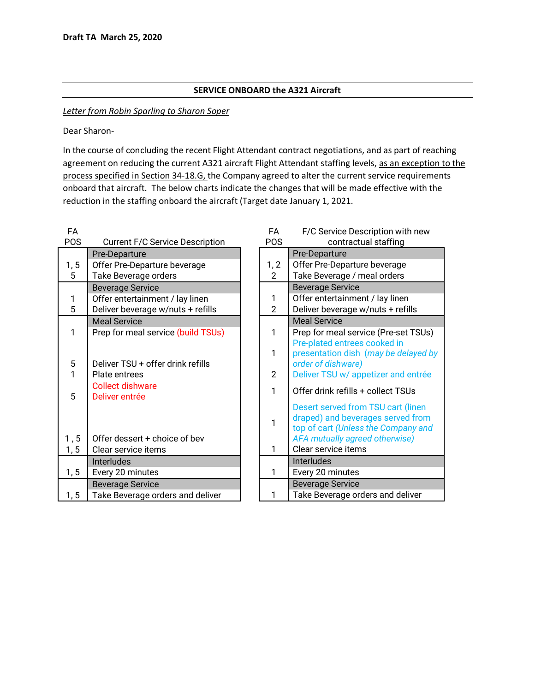## **SERVICE ONBOARD the A321 Aircraft**

## *Letter from Robin Sparling to Sharon Soper*

Dear Sharon-

In the course of concluding the recent Flight Attendant contract negotiations, and as part of reaching agreement on reducing the current A321 aircraft Flight Attendant staffing levels, as an exception to the process specified in Section 34-18.G, the Company agreed to alter the current service requirements onboard that aircraft. The below charts indicate the changes that will be made effective with the reduction in the staffing onboard the aircraft (Target date January 1, 2021.

| FA         |                                           | FA             | F/C Service Description with new     |
|------------|-------------------------------------------|----------------|--------------------------------------|
| <b>POS</b> | <b>Current F/C Service Description</b>    | POS            | contractual staffing                 |
|            | Pre-Departure                             |                | Pre-Departure                        |
| 1, 5       | Offer Pre-Departure beverage              | 1, 2           | Offer Pre-Departure beverage         |
| 5          | Take Beverage orders                      | $\overline{2}$ | Take Beverage / meal orders          |
|            | <b>Beverage Service</b>                   |                | <b>Beverage Service</b>              |
| 1          | Offer entertainment / lay linen           | 1              | Offer entertainment / lay linen      |
| 5          | Deliver beverage w/nuts + refills         | $\overline{2}$ | Deliver beverage w/nuts + refills    |
|            | <b>Meal Service</b>                       |                | <b>Meal Service</b>                  |
| 1          | Prep for meal service (build TSUs)        | 1              | Prep for meal service (Pre-set TSUs) |
|            |                                           |                | Pre-plated entrees cooked in         |
|            |                                           | 1              | presentation dish (may be delayed b  |
| 5          | Deliver TSU + offer drink refills         |                | order of dishware)                   |
| 1          | Plate entrees                             | $\overline{2}$ | Deliver TSU w/ appetizer and entrée  |
| 5          | <b>Collect dishware</b><br>Deliver entrée | 1              | Offer drink refills + collect TSUs   |
|            |                                           |                | Desert served from TSU cart (linen   |
|            |                                           |                | draped) and beverages served from    |
|            |                                           | 1              | top of cart (Unless the Company and  |
| 1, 5       | Offer dessert + choice of bev             |                | AFA mutually agreed otherwise)       |
| 1, 5       | Clear service items                       | 1              | Clear service items                  |
|            | <b>Interludes</b>                         |                | Interludes                           |
| 1, 5       | Every 20 minutes                          | 1              | Every 20 minutes                     |
|            | <b>Beverage Service</b>                   |                | <b>Beverage Service</b>              |
| 1, 5       | Take Beverage orders and deliver          | 1              | Take Beverage orders and deliver     |

| FA<br>POS      | F/C Service Description with new<br>contractual staffing                                                                                         |  |  |  |  |
|----------------|--------------------------------------------------------------------------------------------------------------------------------------------------|--|--|--|--|
|                | Pre-Departure                                                                                                                                    |  |  |  |  |
| 1, 2           | Offer Pre-Departure beverage                                                                                                                     |  |  |  |  |
| 2              | Take Beverage / meal orders                                                                                                                      |  |  |  |  |
|                | <b>Beverage Service</b>                                                                                                                          |  |  |  |  |
| 1              | Offer entertainment / lay linen                                                                                                                  |  |  |  |  |
| $\overline{2}$ | Deliver beverage w/nuts + refills                                                                                                                |  |  |  |  |
|                | <b>Meal Service</b>                                                                                                                              |  |  |  |  |
| 1              | Prep for meal service (Pre-set TSUs)                                                                                                             |  |  |  |  |
| 1              | Pre-plated entrees cooked in<br>presentation dish (may be delayed by<br>order of dishware)                                                       |  |  |  |  |
| 2              | Deliver TSU w/ appetizer and entrée                                                                                                              |  |  |  |  |
| 1              | Offer drink refills + collect TSUs                                                                                                               |  |  |  |  |
| 1              | Desert served from TSU cart (linen<br>draped) and beverages served from<br>top of cart (Unless the Company and<br>AFA mutually agreed otherwise) |  |  |  |  |
| 1              | Clear service items                                                                                                                              |  |  |  |  |
|                | <b>Interludes</b>                                                                                                                                |  |  |  |  |
| 1              | Every 20 minutes                                                                                                                                 |  |  |  |  |
|                | <b>Beverage Service</b>                                                                                                                          |  |  |  |  |
| 1              | Take Beverage orders and deliver                                                                                                                 |  |  |  |  |